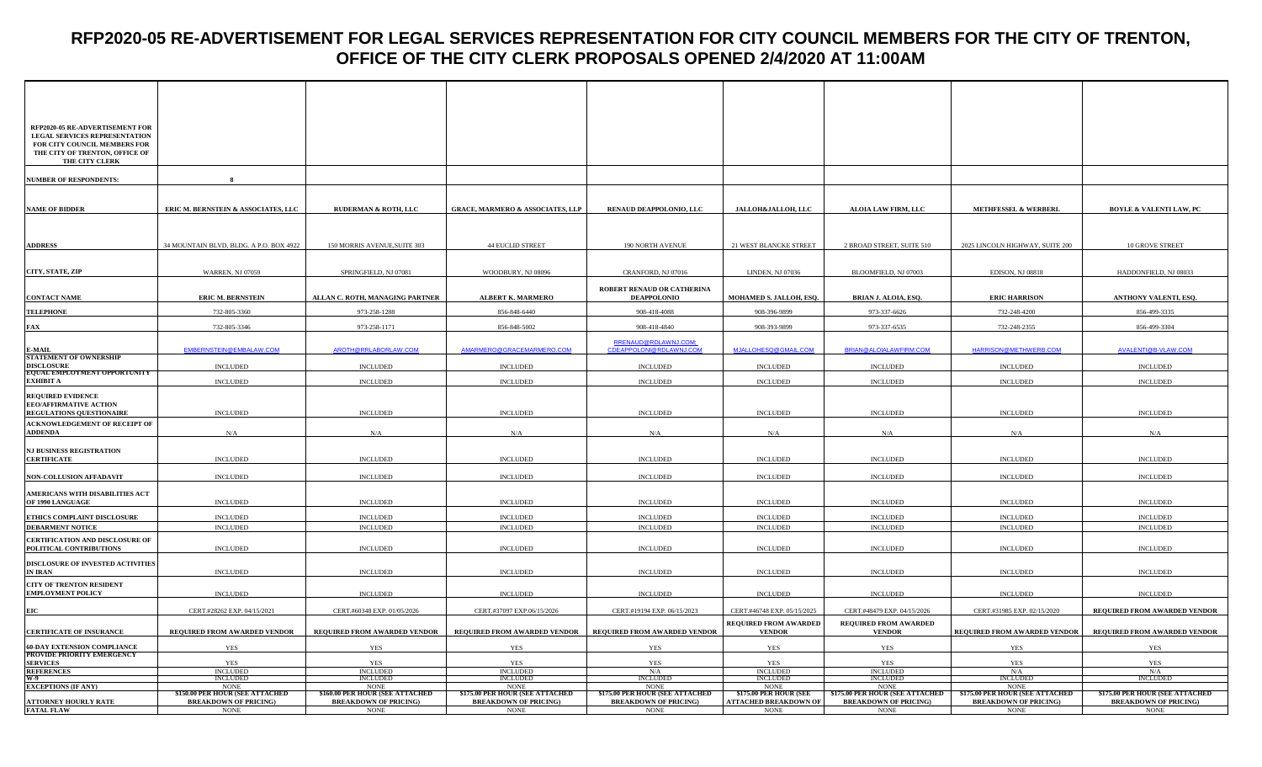| RFP2020-05 RE-ADVERTISEMENT FOR<br>LEGAL SERVICES REPRESENTATION<br>FOR CITY COUNCIL MEMBERS FOR<br>THE CITY OF TRENTON, OFFICE OF<br>THE CITY CLERK |                                                                 |                                                                 |                                                                 |                                                                 |                                                        |                                                                        |                                                                        |                                                                 |
|------------------------------------------------------------------------------------------------------------------------------------------------------|-----------------------------------------------------------------|-----------------------------------------------------------------|-----------------------------------------------------------------|-----------------------------------------------------------------|--------------------------------------------------------|------------------------------------------------------------------------|------------------------------------------------------------------------|-----------------------------------------------------------------|
|                                                                                                                                                      |                                                                 |                                                                 |                                                                 |                                                                 |                                                        |                                                                        |                                                                        |                                                                 |
| <b>NUMBER OF RESPONDENTS:</b>                                                                                                                        |                                                                 |                                                                 |                                                                 |                                                                 |                                                        |                                                                        |                                                                        |                                                                 |
| <b>NAME OF BIDDER</b>                                                                                                                                | ERIC M. BERNSTEIN & ASSOCIATES, LLC                             | <b>RUDERMAN &amp; ROTH, LLC</b>                                 | <b>GRACE, MARMERO &amp; ASSOCIATES, LLP</b>                     | RENAUD DEAPPOLONIO, LLC                                         | JALLOH&JALLOH, LLC                                     | <b>ALOIA LAW FIRM, LLC</b>                                             | <b>METHFESSEL &amp; WERBERL</b>                                        | <b>BOYLE &amp; VALENTI LAW, PC</b>                              |
|                                                                                                                                                      |                                                                 |                                                                 |                                                                 |                                                                 |                                                        |                                                                        |                                                                        |                                                                 |
| <b>ADDRESS</b>                                                                                                                                       | 34 MOUNTAIN BLVD, BLDG. A P.O. BOX 4922                         | 150 MORRIS AVENUE, SUITE 303                                    | <b>44 EUCLID STREET</b>                                         | 190 NORTH AVENUE                                                | 21 WEST BLANCKE STREET                                 | 2 BROAD STREET, SUITE 510                                              | 2025 LINCOLN HIGHWAY, SUITE 200                                        | <b>10 GROVE STREET</b>                                          |
|                                                                                                                                                      |                                                                 |                                                                 |                                                                 |                                                                 |                                                        |                                                                        |                                                                        |                                                                 |
| CITY, STATE, ZIP                                                                                                                                     | <b>WARREN, NJ 07059</b>                                         | SPRINGFIELD, NJ 07081                                           | WOODBURY, NJ 08096                                              | CRANFORD, NJ 07016                                              | <b>LINDEN, NJ 07036</b>                                | BLOOMFIELD, NJ 07003                                                   | EDISON, NJ 08818                                                       | HADDONFIELD, NJ 08033                                           |
| <b>CONTACT NAME</b>                                                                                                                                  | <b>ERIC M. BERNSTEIN</b>                                        | ALLAN C. ROTH, MANAGING PARTNER                                 | <b>ALBERT K. MARMERO</b>                                        | ROBERT RENAUD OR CATHERINA<br><b>DEAPPOLONIO</b>                | MOHAMED S. JALLOH, ESQ.                                | BRIAN J. ALOIA, ESQ.                                                   | <b>ERIC HARRISON</b>                                                   | ANTHONY VALENTI, ESQ.                                           |
| <b>TELEPHONE</b>                                                                                                                                     | 732-805-3360                                                    | 973-258-1288                                                    | 856-848-6440                                                    | 908-418-4088                                                    | 908-396-9899                                           | 973-337-6626                                                           | 732-248-4200                                                           | 856-499-3335                                                    |
| <b>FAX</b>                                                                                                                                           | 732-805-3346                                                    | 973-258-1171                                                    | 856-848-5002                                                    | 908-418-4840                                                    | 908-393-9899                                           | 973-337-6535                                                           | 732-248-2355                                                           | 856-499-3304                                                    |
|                                                                                                                                                      |                                                                 |                                                                 |                                                                 | RRENAUD@RDLAWNJ.COM;                                            |                                                        |                                                                        |                                                                        |                                                                 |
| E-MAIL<br>STATEMENT OF OWNERSHIP                                                                                                                     | EMBERNSTEIN@EMBALAW.COM                                         | AROTH@RRLABORLAW.COM                                            | AMARMERO@GRACEMARMERO.COM                                       | CDEAPPOLONI@RDLAWNJ.COM                                         | MJALLOHESQ@GMAIL.COM                                   | BRIAN@ALOIALAWFIRM.COM                                                 | HARRISON@METHWERB.COM                                                  | AVALENTI@B-VLAW.COM                                             |
| DISCLOSURE<br>EQUAL EMPLOYMENT OPPORTUNITY                                                                                                           | <b>INCLUDED</b>                                                 | <b>INCLUDED</b>                                                 | <b>INCLUDED</b>                                                 | <b>INCLUDED</b>                                                 | <b>INCLUDED</b>                                        | <b>INCLUDED</b>                                                        | <b>INCLUDED</b>                                                        | <b>INCLUDED</b>                                                 |
| <b>EXHIBIT A</b>                                                                                                                                     | <b>INCLUDED</b>                                                 | <b>INCLUDED</b>                                                 | <b>INCLUDED</b>                                                 | <b>INCLUDED</b>                                                 | <b>INCLUDED</b>                                        | <b>INCLUDED</b>                                                        | <b>INCLUDED</b>                                                        | <b>INCLUDED</b>                                                 |
| <b>REQUIRED EVIDENCE</b>                                                                                                                             |                                                                 |                                                                 |                                                                 |                                                                 |                                                        |                                                                        |                                                                        |                                                                 |
| <b>EEO/AFFIRMATIVE ACTION</b><br><b>REGULATIONS QUESTIONAIRE</b>                                                                                     | <b>INCLUDED</b>                                                 | <b>INCLUDED</b>                                                 | <b>INCLUDED</b>                                                 | <b>INCLUDED</b>                                                 | <b>INCLUDED</b>                                        | <b>INCLUDED</b>                                                        | <b>INCLUDED</b>                                                        | <b>INCLUDED</b>                                                 |
| ACKNOWLEDGEMENT OF RECEIPT OF                                                                                                                        |                                                                 |                                                                 |                                                                 |                                                                 |                                                        |                                                                        |                                                                        |                                                                 |
| <b>ADDENDA</b>                                                                                                                                       | N/A                                                             | N/A                                                             | N/A                                                             | N/A                                                             | N/A                                                    | N/A                                                                    | N/A                                                                    | N/A                                                             |
| <b>NJ BUSINESS REGISTRATION</b><br><b>CERTIFICATE</b>                                                                                                | <b>INCLUDED</b>                                                 | <b>INCLUDED</b>                                                 | <b>INCLUDED</b>                                                 | <b>INCLUDED</b>                                                 | <b>INCLUDED</b>                                        | <b>INCLUDED</b>                                                        | <b>INCLUDED</b>                                                        | <b>INCLUDED</b>                                                 |
| <b>NON-COLLUSION AFFADAVIT</b>                                                                                                                       | <b>INCLUDED</b>                                                 | <b>INCLUDED</b>                                                 | <b>INCLUDED</b>                                                 | <b>INCLUDED</b>                                                 | <b>INCLUDED</b>                                        | <b>INCLUDED</b>                                                        | <b>INCLUDED</b>                                                        | <b>INCLUDED</b>                                                 |
|                                                                                                                                                      |                                                                 |                                                                 |                                                                 |                                                                 |                                                        |                                                                        |                                                                        |                                                                 |
| AMERICANS WITH DISABILITIES ACT<br>OF 1990 LANGUAGE                                                                                                  | <b>INCLUDED</b>                                                 | <b>INCLUDED</b>                                                 | <b>INCLUDED</b>                                                 | <b>INCLUDED</b>                                                 | <b>INCLUDED</b>                                        | <b>INCLUDED</b>                                                        | <b>INCLUDED</b>                                                        | <b>INCLUDED</b>                                                 |
| ETHICS COMPLAINT DISCLOSURE                                                                                                                          | <b>INCLUDED</b>                                                 | <b>INCLUDED</b>                                                 | <b>INCLUDED</b>                                                 | <b>INCLUDED</b>                                                 | <b>INCLUDED</b>                                        | <b>INCLUDED</b>                                                        | <b>INCLUDED</b>                                                        | <b>INCLUDED</b>                                                 |
| <b>DEBARMENT NOTICE</b>                                                                                                                              | <b>INCLUDED</b>                                                 | <b>INCLUDED</b>                                                 | <b>INCLUDED</b>                                                 | <b>INCLUDED</b>                                                 | <b>INCLUDED</b>                                        | <b>INCLUDED</b>                                                        | <b>INCLUDED</b>                                                        | <b>INCLUDED</b>                                                 |
| CERTIFICATION AND DISCLOSURE OF<br>POLITICAL CONTRIBUTIONS                                                                                           | <b>INCLUDED</b>                                                 | <b>INCLUDED</b>                                                 | <b>INCLUDED</b>                                                 | <b>INCLUDED</b>                                                 | <b>INCLUDED</b>                                        | <b>INCLUDED</b>                                                        | <b>INCLUDED</b>                                                        | <b>INCLUDED</b>                                                 |
| <b>DISCLOSURE OF INVESTED ACTIVITIES</b>                                                                                                             |                                                                 |                                                                 |                                                                 |                                                                 |                                                        |                                                                        |                                                                        |                                                                 |
| IN IRAN                                                                                                                                              | <b>INCLUDED</b>                                                 | <b>INCLUDED</b>                                                 | <b>INCLUDED</b>                                                 | <b>INCLUDED</b>                                                 | <b>INCLUDED</b>                                        | <b>INCLUDED</b>                                                        | <b>INCLUDED</b>                                                        | <b>INCLUDED</b>                                                 |
| <b>CITY OF TRENTON RESIDENT</b><br><b>EMPLOYMENT POLICY</b>                                                                                          | <b>INCLUDED</b>                                                 | <b>INCLUDED</b>                                                 | <b>INCLUDED</b>                                                 | <b>INCLUDED</b>                                                 | <b>INCLUDED</b>                                        | <b>INCLUDED</b>                                                        | <b>INCLUDED</b>                                                        | <b>INCLUDED</b>                                                 |
| EIC                                                                                                                                                  | CERT.#28262 EXP. 04/15/2021                                     | CERT.#60348 EXP. 01/05/2026                                     | CERT.#37097 EXP.06/15/2026                                      | CERT.#19194 EXP. 06/15/2023                                     | CERT.#46748 EXP. 05/15/2025                            | CERT.#48479 EXP. 04/15/2026                                            | CERT.#31985 EXP. 02/15/2020                                            | REQUIRED FROM AWARDED VENDOR                                    |
| <b>CERTIFICATE OF INSURANCE</b>                                                                                                                      | REQUIRED FROM AWARDED VENDOR                                    | REQUIRED FROM AWARDED VENDOR                                    | REQUIRED FROM AWARDED VENDOR                                    | REQUIRED FROM AWARDED VENDOR                                    | <b>REQUIRED FROM AWARDED</b><br><b>VENDOR</b>          | <b>REQUIRED FROM AWARDED</b><br><b>VENDOR</b>                          | REQUIRED FROM AWARDED VENDOR                                           | REQUIRED FROM AWARDED VENDOR                                    |
| <b>60-DAY EXTENSION COMPLIANCE<br/>PROVIDE PRIORITY EMERGENCY</b>                                                                                    | YES                                                             | <b>YES</b>                                                      | YES                                                             | YES                                                             | <b>YES</b>                                             | <b>YES</b>                                                             | <b>YES</b>                                                             | YES                                                             |
| <b>SERVICES</b>                                                                                                                                      | <b>YES</b>                                                      | YES                                                             | <b>YES</b>                                                      | YES                                                             | <b>YES</b>                                             | <b>YES</b>                                                             | YES                                                                    | YES                                                             |
| REFERENCES<br>W-9<br>EXCEPTIONS (IF ANY)                                                                                                             | <b>INCLUDED</b><br><b>INCLUDED</b>                              | <b>INCLUDED</b><br><b>INCLUDED</b>                              | <b>INCLUDED</b><br><b>INCLUDED</b>                              | N/A<br>INCLUDED                                                 | <b>INCLUDED</b><br><b>INCLUDED</b>                     | <b>INCLUDED</b><br><b>INCLUDED</b>                                     | N/A<br><b>INCLUDED</b>                                                 | N/A<br><b>INCLUDED</b>                                          |
|                                                                                                                                                      | <b>NONE</b>                                                     | <b>NONE</b>                                                     | <b>NONE</b>                                                     | <b>NONE</b>                                                     | <b>NONE</b>                                            | <b>NONE</b>                                                            | <b>NONE</b>                                                            |                                                                 |
| <b>ATTORNEY HOURLY RATE</b>                                                                                                                          | \$150.00 PER HOUR (SEE ATTACHED<br><b>BREAKDOWN OF PRICING)</b> | \$160.00 PER HOUR (SEE ATTACHED<br><b>BREAKDOWN OF PRICING)</b> | \$175.00 PER HOUR (SEE ATTACHED<br><b>BREAKDOWN OF PRICING)</b> | \$175.00 PER HOUR (SEE ATTACHED<br><b>BREAKDOWN OF PRICING)</b> | \$175.00 PER HOUR (SEE<br><b>ATTACHED BREAKDOWN OF</b> | <b>\$175.00 PER HOUR (SEE ATTACHED</b><br><b>BREAKDOWN OF PRICING)</b> | <b>\$175.00 PER HOUR (SEE ATTACHED</b><br><b>BREAKDOWN OF PRICING)</b> | \$175.00 PER HOUR (SEE ATTACHED<br><b>BREAKDOWN OF PRICING)</b> |
| <b>FATAL FLAW</b>                                                                                                                                    | <b>NONE</b>                                                     | $\rm{NONE}$                                                     | <b>NONE</b>                                                     | <b>NONE</b>                                                     | <b>NONE</b>                                            | <b>NONE</b>                                                            | <b>NONE</b>                                                            | <b>NONE</b>                                                     |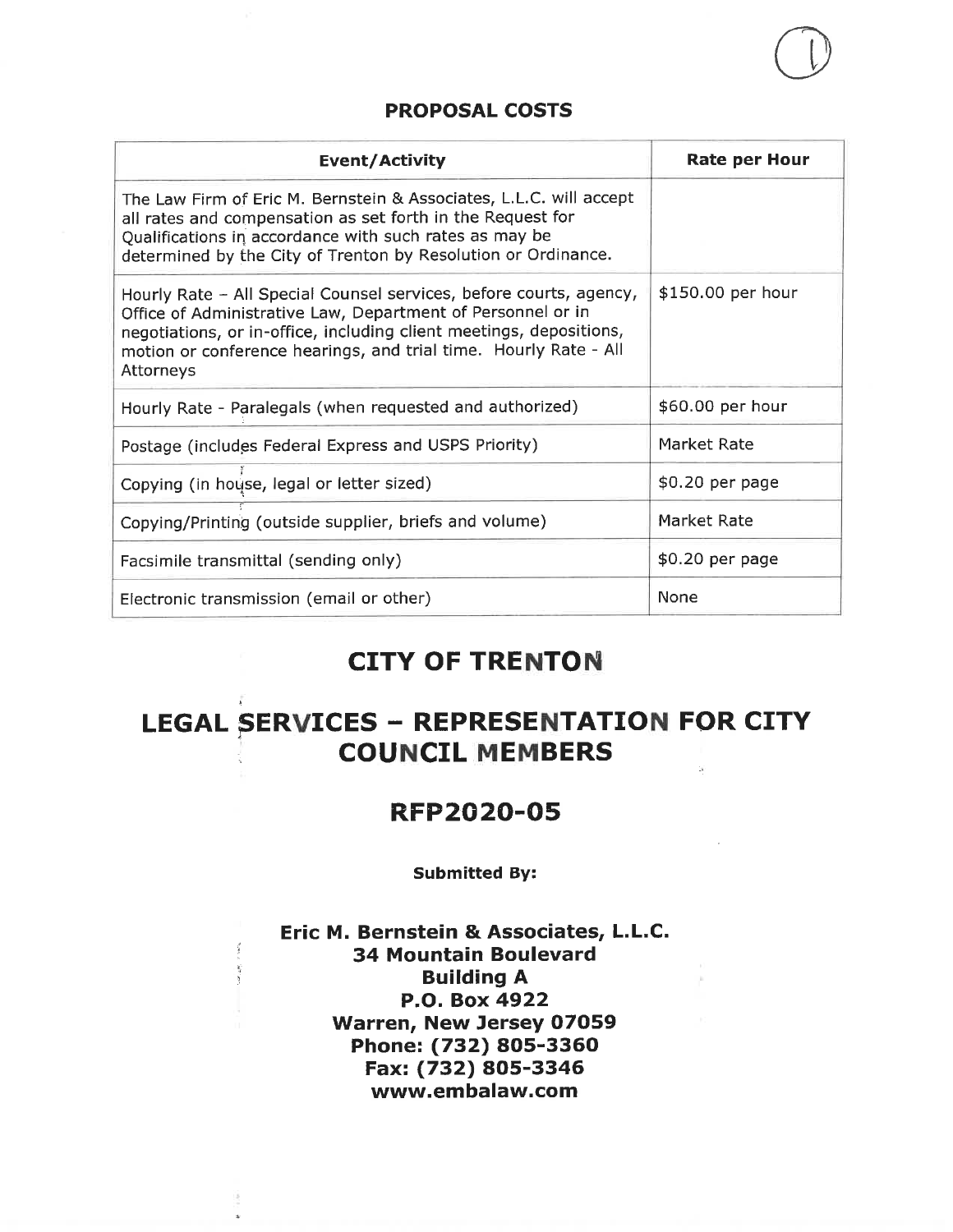| Event/Activity                                                                                                                                                                                                                                                                            | <b>Rate per Hour</b> |
|-------------------------------------------------------------------------------------------------------------------------------------------------------------------------------------------------------------------------------------------------------------------------------------------|----------------------|
| The Law Firm of Eric M. Bernstein & Associates, L.L.C. will accept<br>all rates and compensation as set forth in the Request for<br>Qualifications in accordance with such rates as may be<br>determined by the City of Trenton by Resolution or Ordinance.                               |                      |
| Hourly Rate - All Special Counsel services, before courts, agency,<br>Office of Administrative Law, Department of Personnel or in<br>negotiations, or in-office, including client meetings, depositions,<br>motion or conference hearings, and trial time. Hourly Rate - All<br>Attorneys | \$150.00 per hour    |
| Hourly Rate - Paralegals (when requested and authorized)                                                                                                                                                                                                                                  | \$60.00 per hour     |
| Postage (includes Federal Express and USPS Priority)                                                                                                                                                                                                                                      | Market Rate          |
| Copying (in house, legal or letter sized)                                                                                                                                                                                                                                                 | \$0.20 per page      |
| Copying/Printing (outside supplier, briefs and volume)                                                                                                                                                                                                                                    | Market Rate          |
| Facsimile transmittal (sending only)                                                                                                                                                                                                                                                      | \$0.20 per page      |
| Electronic transmission (email or other)                                                                                                                                                                                                                                                  | <b>None</b>          |

### **CITY OF TRENTON**

## **LEGAL SERVICES - REPRESENTATION FOR CITY COUNCIL MEMBERS**

### **RFP2020-05**

#### **Submitted By:**

### Eric M. Bernstein & Associates, L.L.C. 34 Mountain Boulevard **Building A** P.O. Box 4922 Warren, New Jersey 07059 Phone: (732) 805-3360 Fax: (732) 805-3346 www.embalaw.com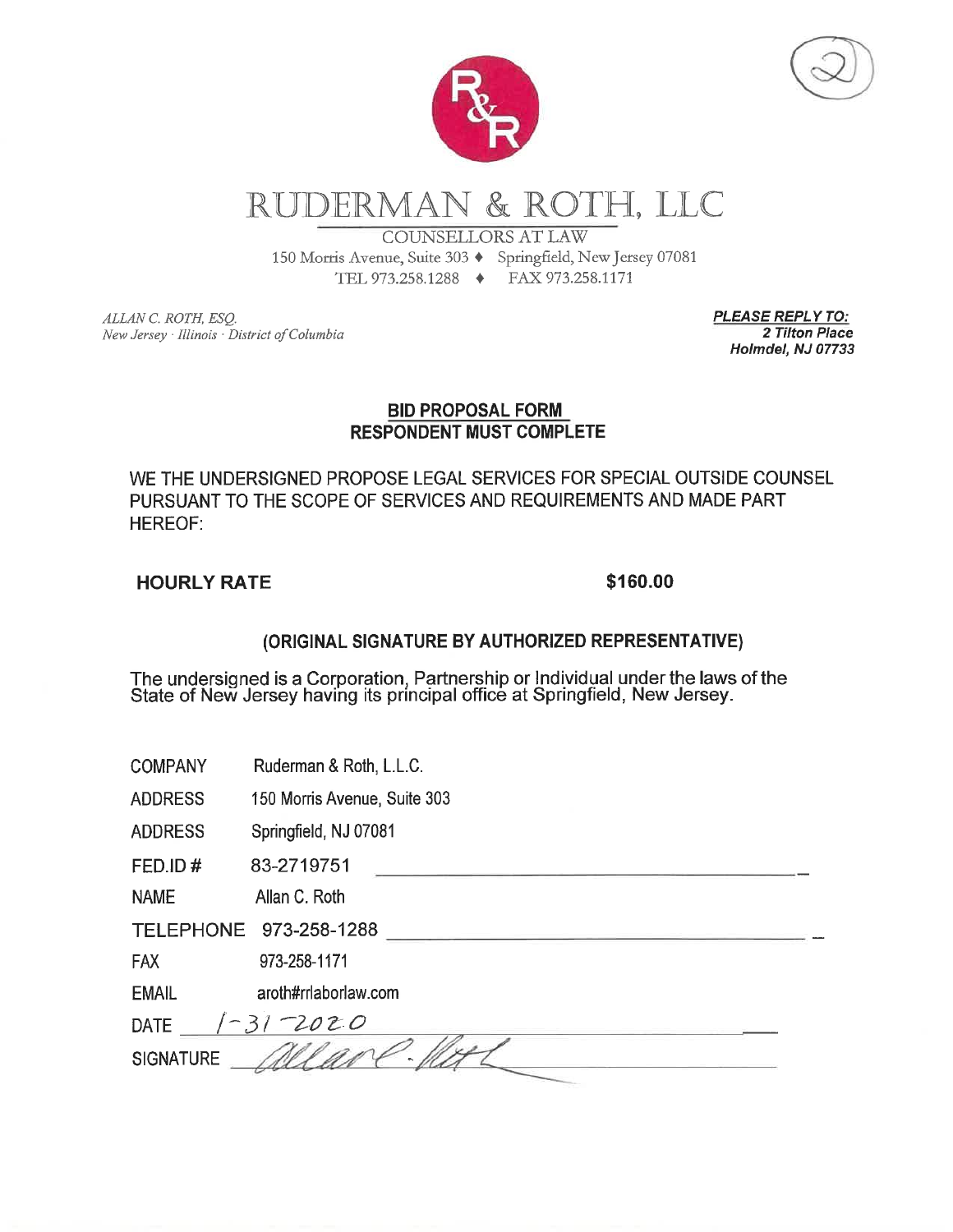

# RUDERMAN & ROTH, LLC

**COUNSELLORS AT LAW** 

TEL 973.258.1288 → FAX 973.258.1171

150 Morris Avenue, Suite 303 + Springfield, New Jersey 07081

ALLAN C. ROTH, ESQ. New Jersey · Illinois · District of Columbia **PLEASE REPLY TO:** 2 Tilton Place Holmdel, NJ 07733

#### **BID PROPOSAL FORM RESPONDENT MUST COMPLETE**

WE THE UNDERSIGNED PROPOSE LEGAL SERVICES FOR SPECIAL OUTSIDE COUNSEL PURSUANT TO THE SCOPE OF SERVICES AND REQUIREMENTS AND MADE PART **HEREOF:** 

### **HOURLY RATE**

### \$160.00

### (ORIGINAL SIGNATURE BY AUTHORIZED REPRESENTATIVE)

The undersigned is a Corporation, Partnership or Individual under the laws of the State of New Jersey having its principal office at Springfield, New Jersey.

| COMPANY | Ruderman & Roth, L.L.C. |  |  |  |
|---------|-------------------------|--|--|--|
|---------|-------------------------|--|--|--|

**ADDRESS** 150 Morris Avenue, Suite 303

Springfield, NJ 07081 **ADDRESS** 

FED.ID# 83-2719751

Allan C. Roth **NAME** 

TELEPHONE 973-258-1288

973-258-1171 **FAX** 

**EMAIL** aroth#rrlaborlaw.com

| <b>DATE</b>      | ハアノ |  |
|------------------|-----|--|
| <b>SIGNATURE</b> |     |  |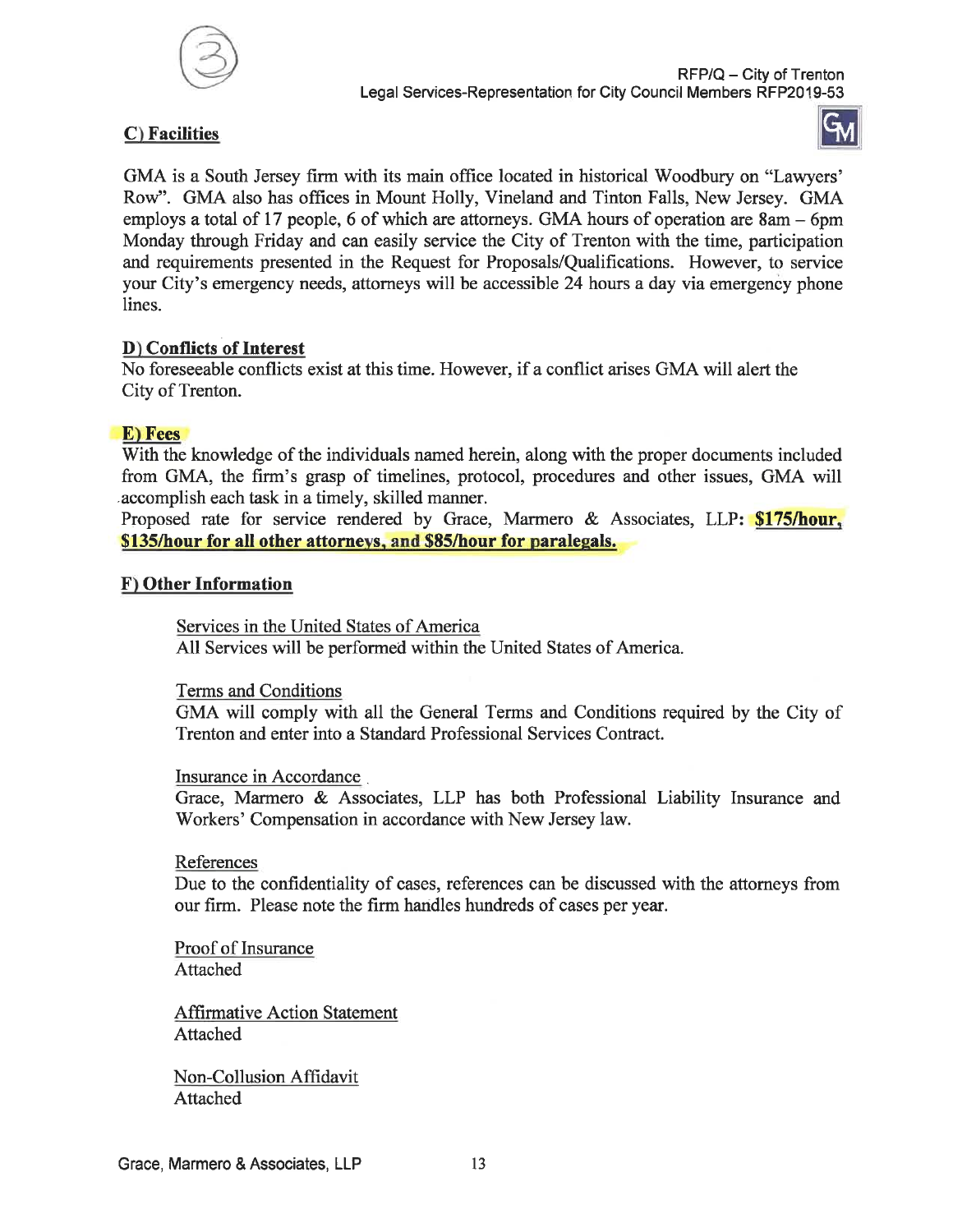

#### C) Facilities



GMA is a South Jersey firm with its main office located in historical Woodbury on "Lawyers" Row". GMA also has offices in Mount Holly, Vineland and Tinton Falls, New Jersey. GMA employs a total of 17 people, 6 of which are attorneys. GMA hours of operation are  $8am - 6pm$ Monday through Friday and can easily service the City of Trenton with the time, participation and requirements presented in the Request for Proposals/Qualifications. However, to service your City's emergency needs, attorneys will be accessible 24 hours a day via emergency phone lines.

#### D) Conflicts of Interest

No foreseeable conflicts exist at this time. However, if a conflict arises GMA will alert the City of Trenton.

### E) Fees

With the knowledge of the individuals named herein, along with the proper documents included from GMA, the firm's grasp of timelines, protocol, procedures and other issues, GMA will accomplish each task in a timely, skilled manner.

Proposed rate for service rendered by Grace, Marmero & Associates, LLP: \$175/hour, \$135/hour for all other attorneys, and \$85/hour for paralegals.

#### F) Other Information

Services in the United States of America All Services will be performed within the United States of America.

Terms and Conditions

GMA will comply with all the General Terms and Conditions required by the City of Trenton and enter into a Standard Professional Services Contract.

Insurance in Accordance

Grace, Marmero & Associates, LLP has both Professional Liability Insurance and Workers' Compensation in accordance with New Jersey law.

#### References

Due to the confidentiality of cases, references can be discussed with the attorneys from our firm. Please note the firm handles hundreds of cases per year.

Proof of Insurance Attached

**Affirmative Action Statement** Attached

Non-Collusion Affidavit Attached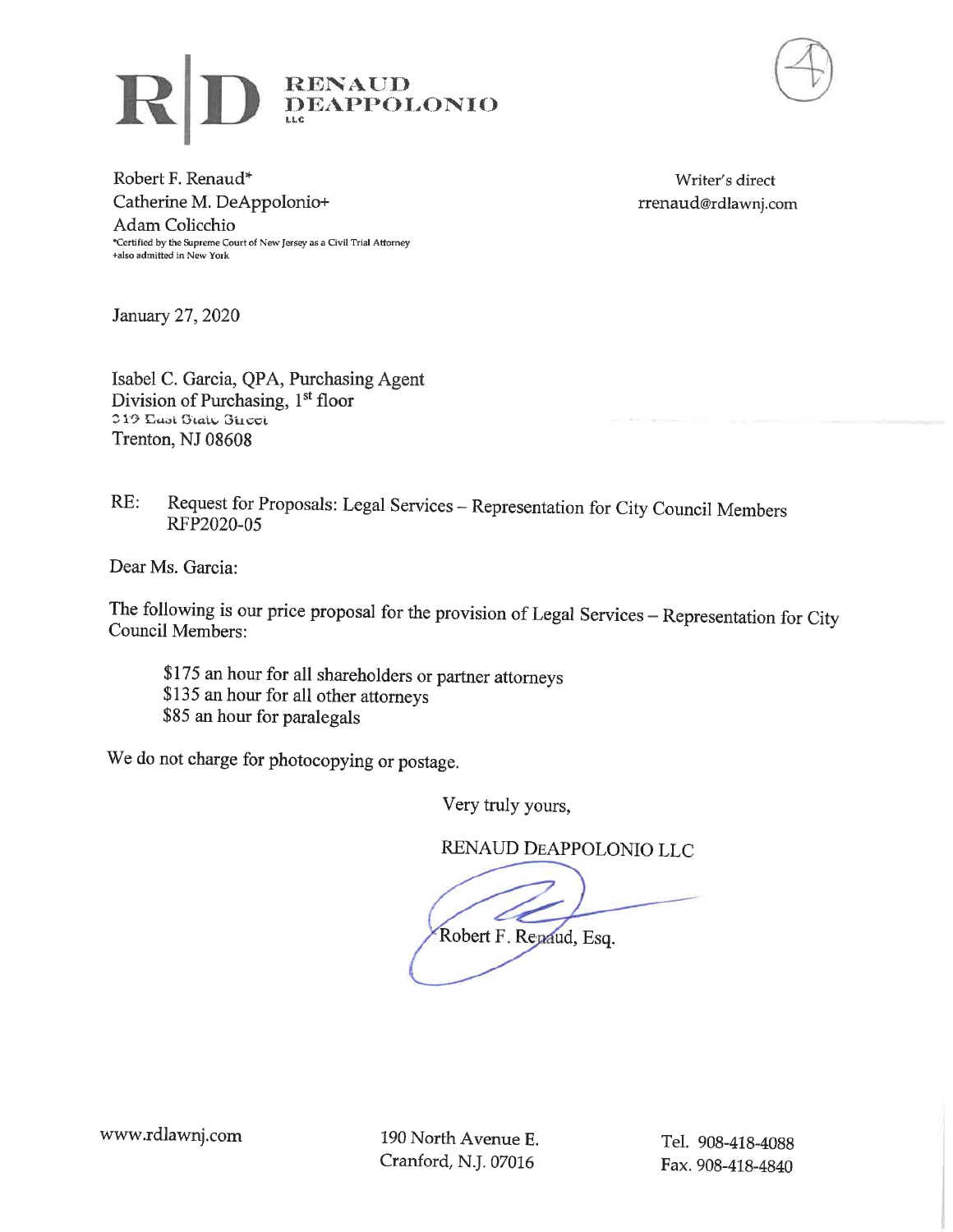



Robert F. Renaud\* Catherine M. DeAppolonio+ Adam Colicchio \*Certified by the Supreme Court of New Jersey as a Civil Trial Attorney +also admitted in New York

Writer's direct rrenaud@rdlawnj.com

January 27, 2020

Isabel C. Garcia, QPA, Purchasing Agent Division of Purchasing, 1<sup>st</sup> floor 319 East Grate Gueet Trenton, NJ 08608

Request for Proposals: Legal Services - Representation for City Council Members  $RE:$ RFP2020-05

Dear Ms. Garcia:

The following is our price proposal for the provision of Legal Services - Representation for City **Council Members:** 

\$175 an hour for all shareholders or partner attorneys \$135 an hour for all other attorneys \$85 an hour for paralegals

We do not charge for photocopying or postage.

Very truly yours.

RENAUD DEAPPOLONIO LLC

Robert F. Repaud, Esq.

190 North Avenue E. Cranford, N.J. 07016

Tel. 908-418-4088 Fax. 908-418-4840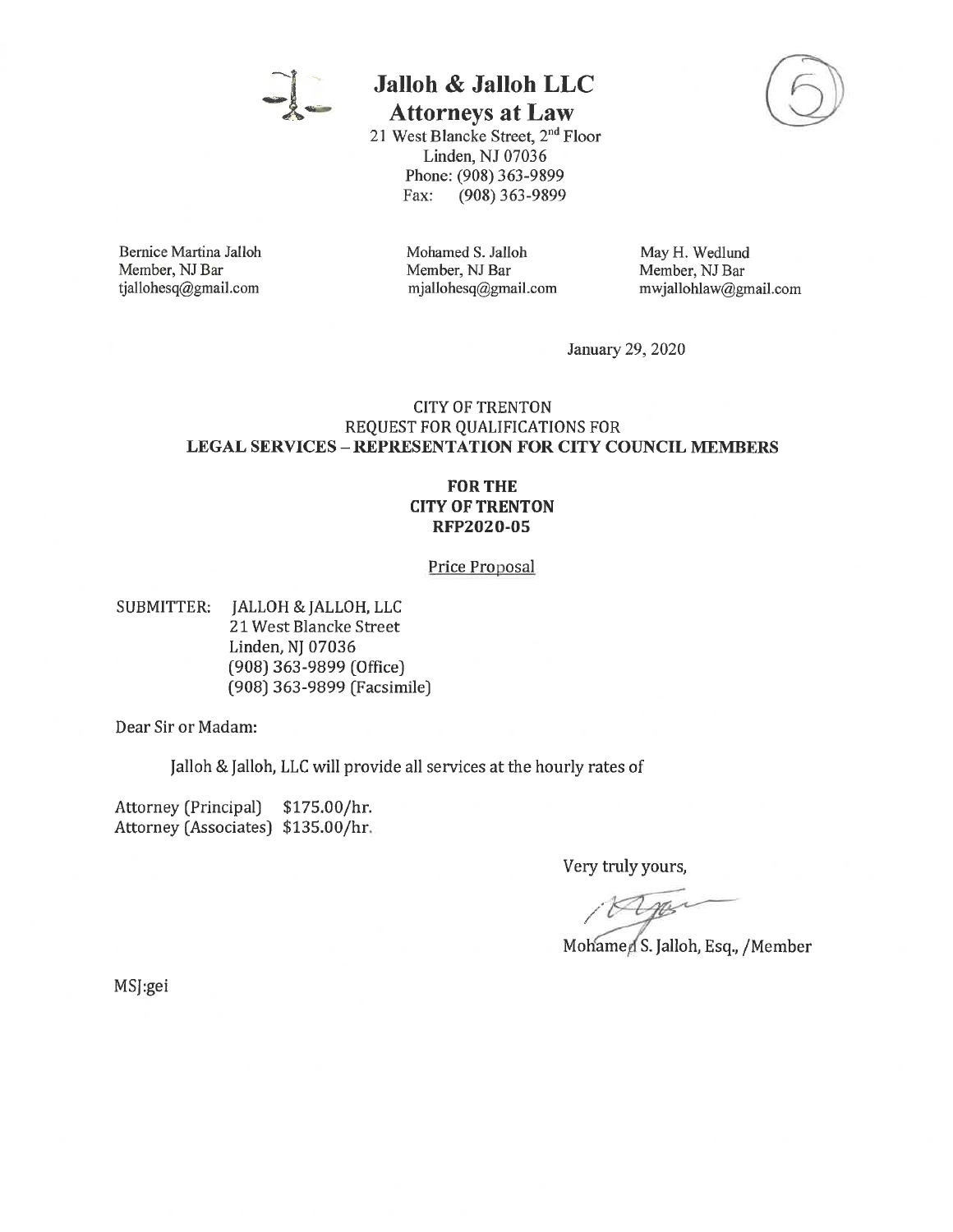

## **Jalloh & Jalloh LLC**

**Attorneys at Law** 

21 West Blancke Street, 2<sup>nd</sup> Floor Linden, NJ 07036 Phone: (908) 363-9899 Fax:  $(908)$  363-9899



**Bernice Martina Jalloh** Member, NJ Bar tjallohesq@gmail.com

Mohamed S. Jalloh Member, NJ Bar mjallohesq@gmail.com May H. Wedlund Member, NJ Bar mwjallohlaw@gmail.com

January 29, 2020

#### **CITY OF TRENTON** REQUEST FOR QUALIFICATIONS FOR **LEGAL SERVICES - REPRESENTATION FOR CITY COUNCIL MEMBERS**

#### **FOR THE CITY OF TRENTON RFP2020-05**

Price Proposal

**SUBMITTER:** JALLOH & JALLOH, LLC 21 West Blancke Street Linden, NJ 07036 (908) 363-9899 (Office) (908) 363-9899 (Facsimile)

Dear Sir or Madam:

Jalloh & Jalloh, LLC will provide all services at the hourly rates of

Attorney (Principal) \$175.00/hr. Attorney (Associates) \$135.00/hr.

Very truly yours,

mer

Mohamed S. Jalloh, Esq., /Member

MSJ:gei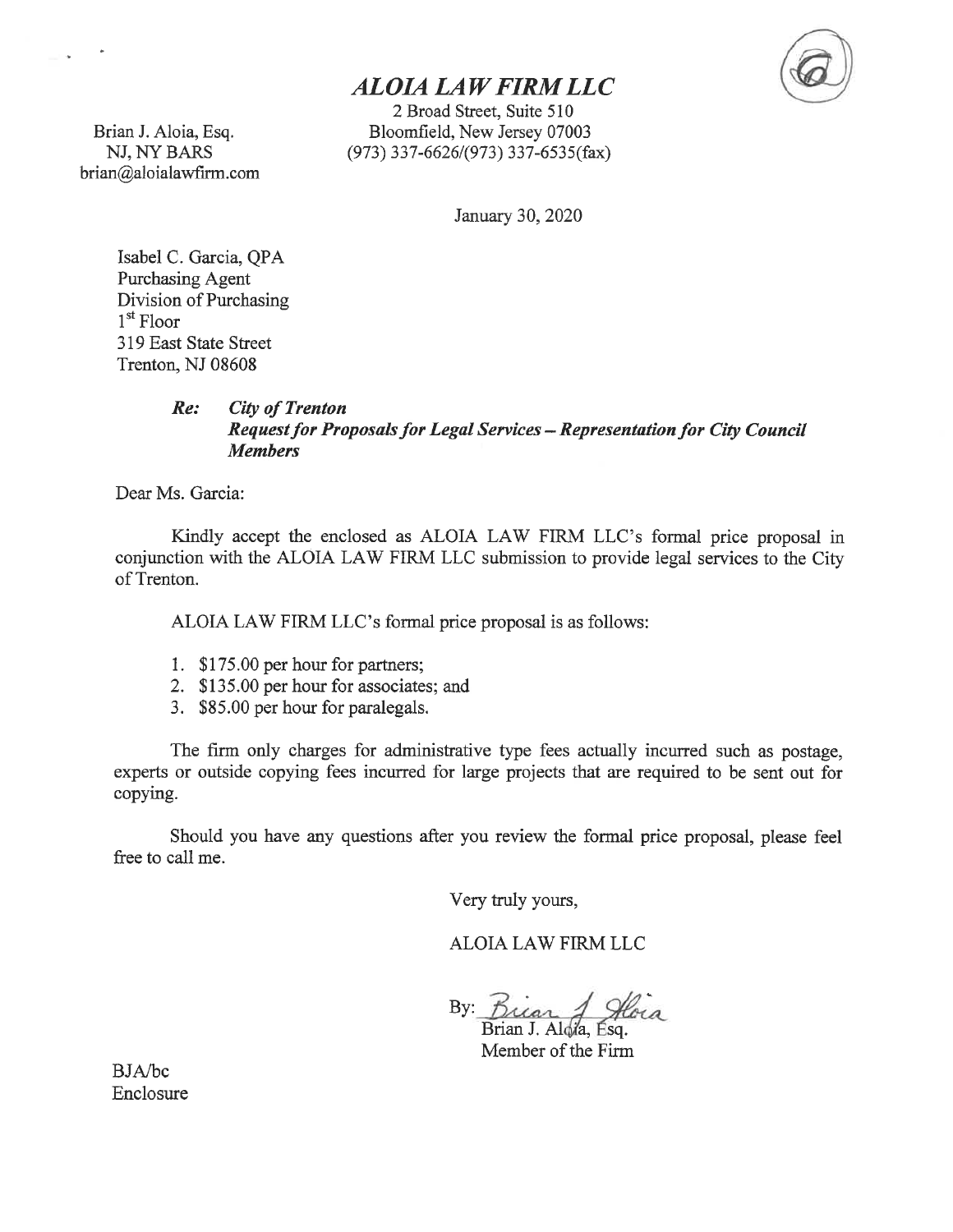## **ALOIA LAW FIRM LLC**

2 Broad Street, Suite 510 Bloomfield, New Jersey 07003  $(973)$  337-6626/(973) 337-6535(fax)

Brian J. Aloia, Esq. NJ, NY BARS brian@aloialawfirm.com

ans and

January 30, 2020

Isabel C. Garcia, QPA Purchasing Agent Division of Purchasing  $1<sup>st</sup>$  Floor 319 East State Street Trenton, NJ 08608

#### $Re:$ **City of Trenton Request for Proposals for Legal Services - Representation for City Council Members**

Dear Ms. Garcia:

Kindly accept the enclosed as ALOIA LAW FIRM LLC's formal price proposal in conjunction with the ALOIA LAW FIRM LLC submission to provide legal services to the City of Trenton.

ALOIA LAW FIRM LLC's formal price proposal is as follows:

- 1. \$175.00 per hour for partners;
- 2. \$135.00 per hour for associates; and
- 3. \$85.00 per hour for paralegals.

The firm only charges for administrative type fees actually incurred such as postage, experts or outside copying fees incurred for large projects that are required to be sent out for copying.

Should you have any questions after you review the formal price proposal, please feel free to call me.

Very truly yours,

**ALOIA LAW FIRM LLC** 

By Buar

Brian J. Alola, Esq. Member of the Firm

**BJA/bc** Enclosure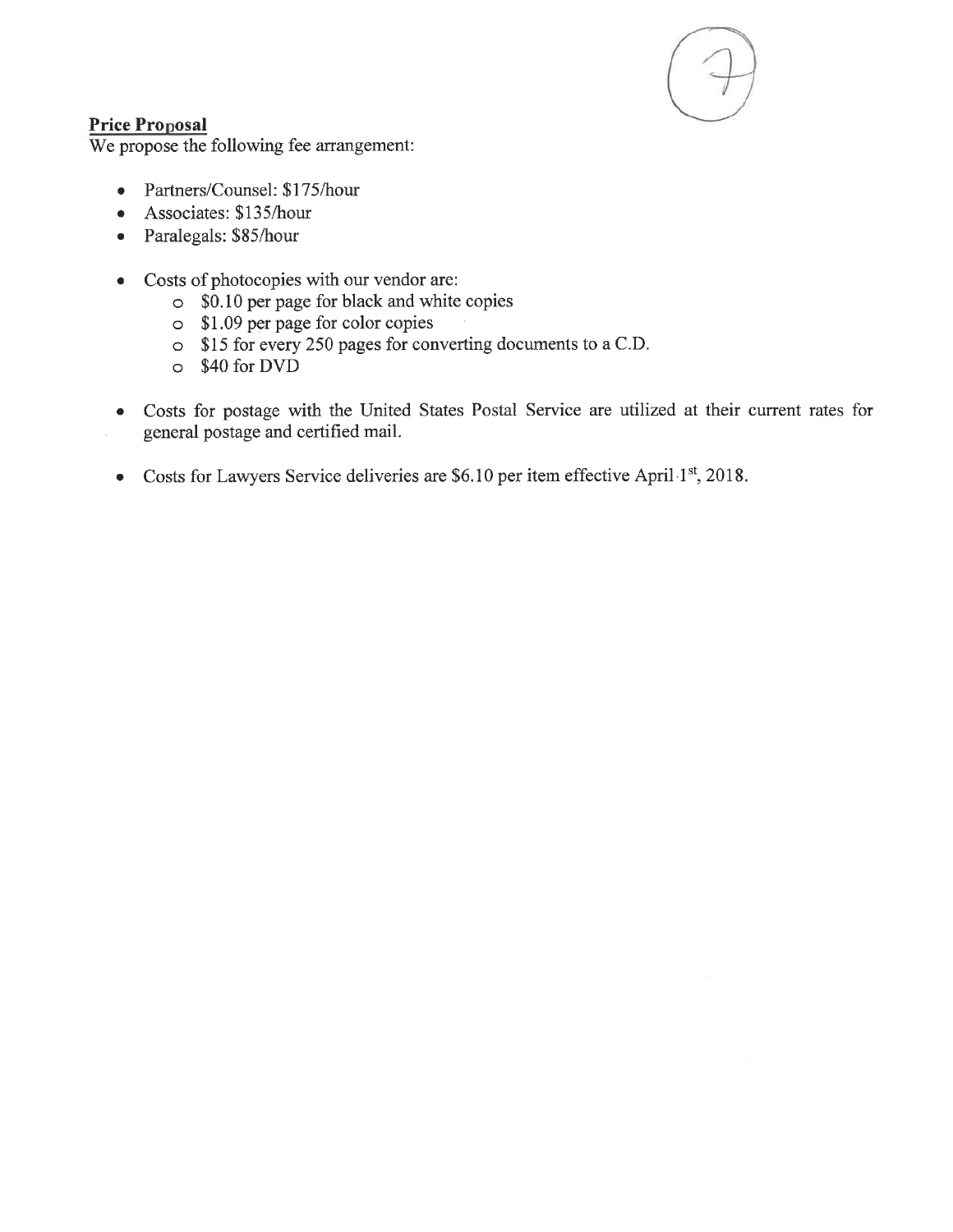

#### **Price Proposal**

We propose the following fee arrangement:

- Partners/Counsel: \$175/hour  $\bullet$
- Associates: \$135/hour
- Paralegals: \$85/hour
- Costs of photocopies with our vendor are:
	- $\circ$  \$0.10 per page for black and white copies
	- S1.09 per page for color copies
	- o \$15 for every 250 pages for converting documents to a C.D.
	- o \$40 for DVD
- Costs for postage with the United States Postal Service are utilized at their current rates for general postage and certified mail.
- Costs for Lawyers Service deliveries are \$6.10 per item effective April 1st, 2018.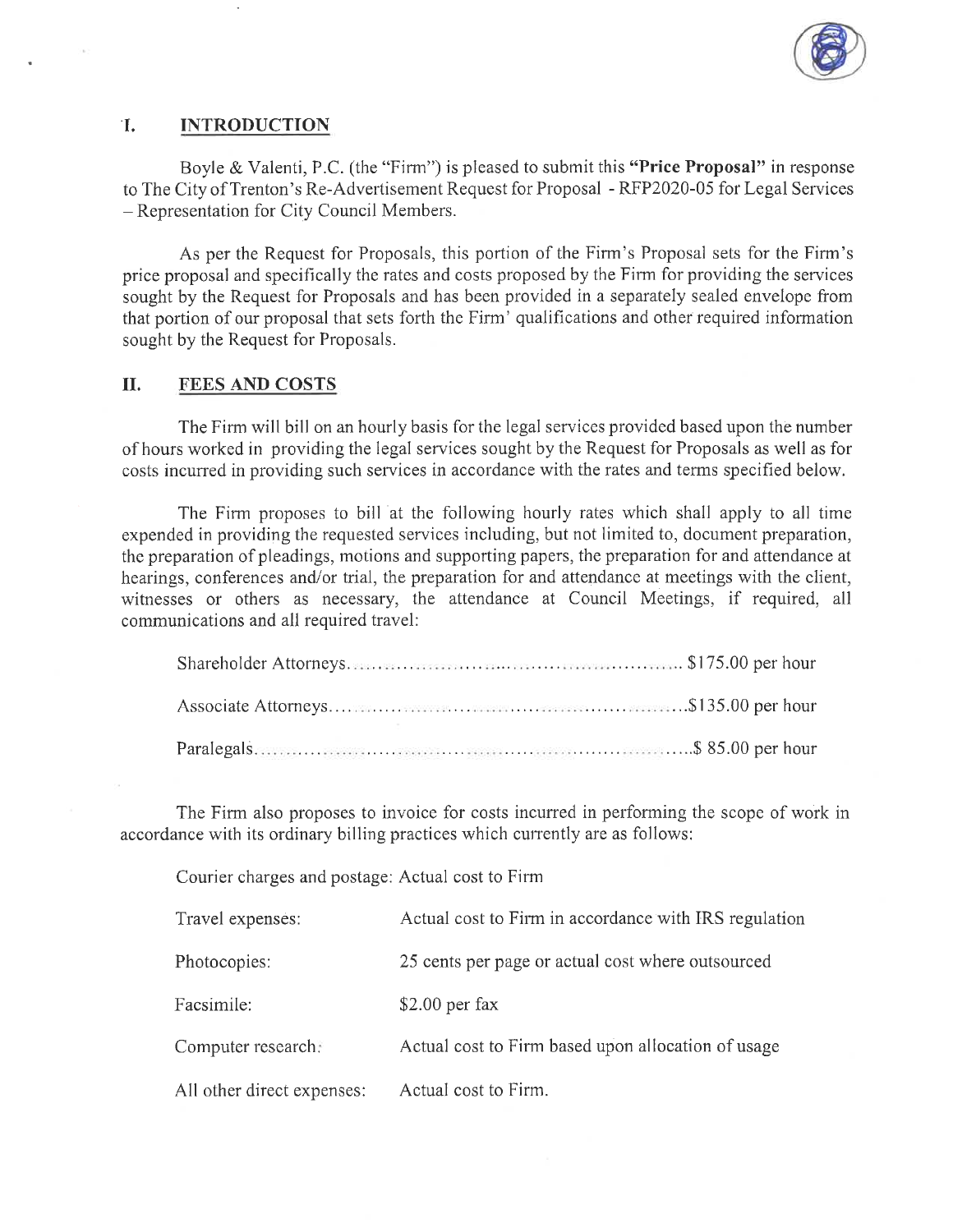

#### T. **INTRODUCTION**

n.

Boyle & Valenti, P.C. (the "Firm") is pleased to submit this "Price Proposal" in response to The City of Trenton's Re-Advertisement Request for Proposal - RFP2020-05 for Legal Services - Representation for City Council Members.

As per the Request for Proposals, this portion of the Firm's Proposal sets for the Firm's price proposal and specifically the rates and costs proposed by the Firm for providing the services sought by the Request for Proposals and has been provided in a separately sealed envelope from that portion of our proposal that sets forth the Firm' qualifications and other required information sought by the Request for Proposals.

#### II. **FEES AND COSTS**

The Firm will bill on an hourly basis for the legal services provided based upon the number of hours worked in providing the legal services sought by the Request for Proposals as well as for costs incurred in providing such services in accordance with the rates and terms specified below.

The Firm proposes to bill at the following hourly rates which shall apply to all time expended in providing the requested services including, but not limited to, document preparation, the preparation of pleadings, motions and supporting papers, the preparation for and attendance at hearings, conferences and/or trial, the preparation for and attendance at meetings with the client, witnesses or others as necessary, the attendance at Council Meetings, if required, all communications and all required travel:

The Firm also proposes to invoice for costs incurred in performing the scope of work in accordance with its ordinary billing practices which currently are as follows:

Courier charges and postage: Actual cost to Firm

| Travel expenses:           | Actual cost to Firm in accordance with IRS regulation |
|----------------------------|-------------------------------------------------------|
| Photocopies:               | 25 cents per page or actual cost where outsourced     |
| Facsimile:                 | $$2.00$ per fax                                       |
| Computer research:         | Actual cost to Firm based upon allocation of usage    |
| All other direct expenses: | Actual cost to Firm.                                  |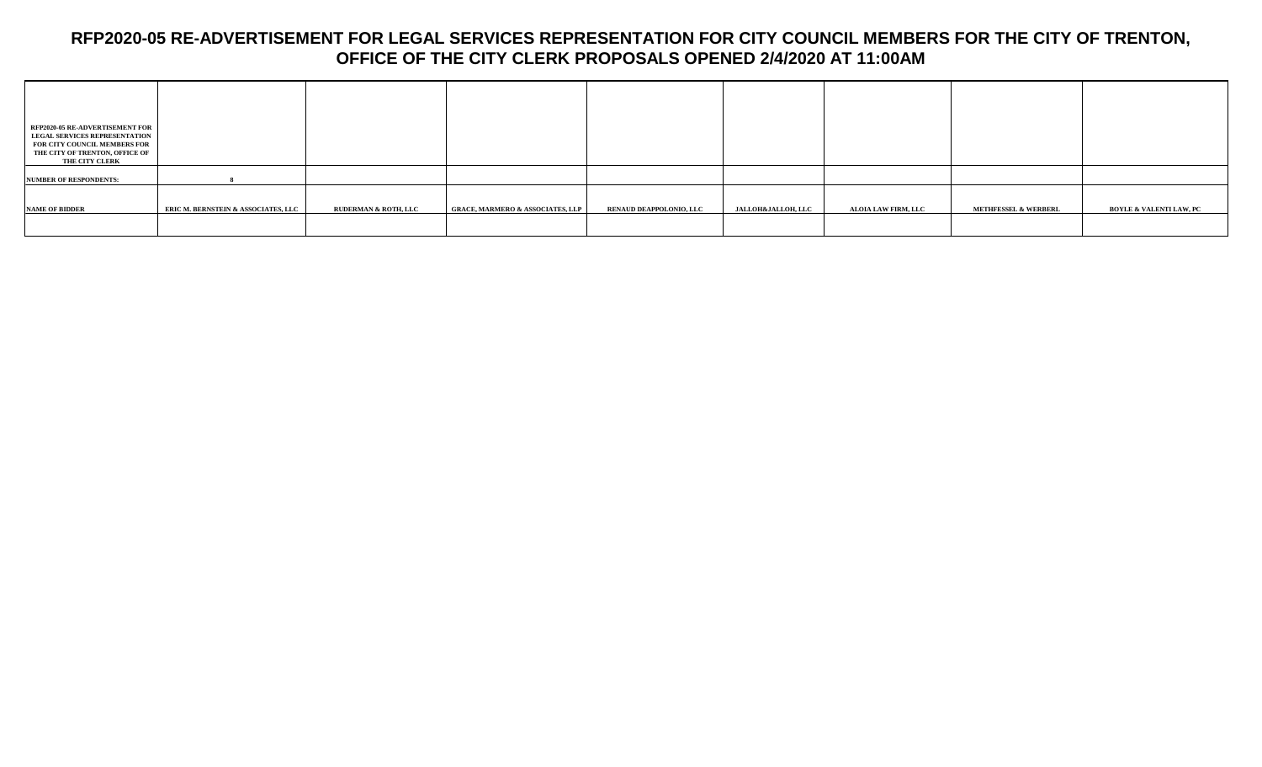| <b>RFP2020-05 RE-ADVERTISEMENT FOR</b><br><b>LEGAL SERVICES REPRESENTATION</b><br>FOR CITY COUNCIL MEMBERS FOR<br>THE CITY OF TRENTON, OFFICE OF<br>THE CITY CLERK |                                     |                                 |                                             |                         |                               |                     |                                 |                                    |
|--------------------------------------------------------------------------------------------------------------------------------------------------------------------|-------------------------------------|---------------------------------|---------------------------------------------|-------------------------|-------------------------------|---------------------|---------------------------------|------------------------------------|
| <b>NUMBER OF RESPONDENTS:</b>                                                                                                                                      |                                     |                                 |                                             |                         |                               |                     |                                 |                                    |
| <b>NAME OF BIDDER</b>                                                                                                                                              | ERIC M. BERNSTEIN & ASSOCIATES, LLC | <b>RUDERMAN &amp; ROTH, LLC</b> | <b>GRACE, MARMERO &amp; ASSOCIATES, LLP</b> | RENAUD DEAPPOLONIO, LLC | <b>JALLOH&amp;JALLOH, LLC</b> | ALOIA LAW FIRM, LLC | <b>METHFESSEL &amp; WERBERL</b> | <b>BOYLE &amp; VALENTI LAW, PC</b> |
|                                                                                                                                                                    |                                     |                                 |                                             |                         |                               |                     |                                 |                                    |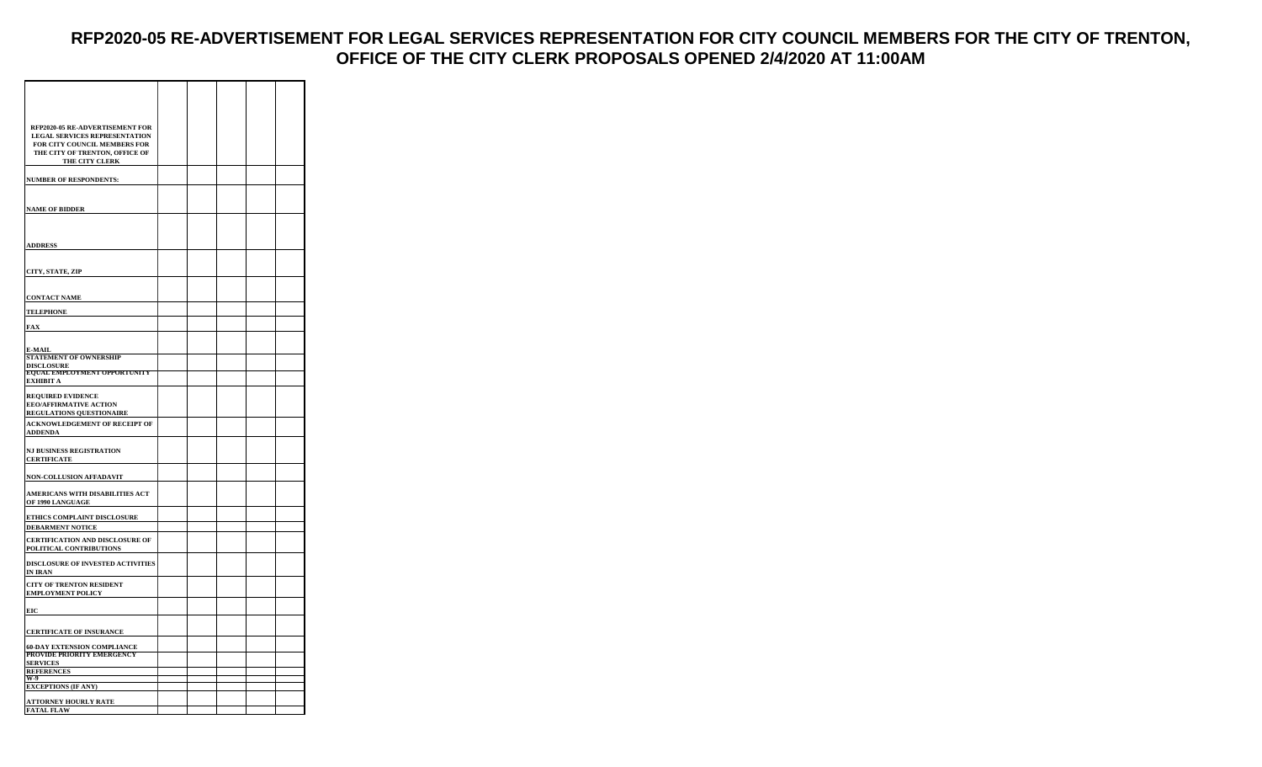| RFP2020-05 RE-ADVERTISEMENT FOR<br><b>LEGAL SERVICES REPRESENTATION</b><br>FOR CITY COUNCIL MEMBERS FOR<br>THE CITY OF TRENTON, OFFICE OF<br>THE CITY CLERK |  |  |  |
|-------------------------------------------------------------------------------------------------------------------------------------------------------------|--|--|--|
| <b>NUMBER OF RESPONDENTS:</b>                                                                                                                               |  |  |  |
| <b>NAME OF BIDDER</b>                                                                                                                                       |  |  |  |
|                                                                                                                                                             |  |  |  |
| <b>ADDRESS</b>                                                                                                                                              |  |  |  |
| CITY, STATE, ZIP                                                                                                                                            |  |  |  |
| <b>CONTACT NAME</b>                                                                                                                                         |  |  |  |
| <b>TELEPHONE</b>                                                                                                                                            |  |  |  |
| FAX                                                                                                                                                         |  |  |  |
| E-MAIL                                                                                                                                                      |  |  |  |
| <b>STATEMENT OF OWNERSHIP</b>                                                                                                                               |  |  |  |
| DISCLOSURE<br>EQUAL EMPLOYMENT OPPORTUNITY<br>EXHIBIT A                                                                                                     |  |  |  |
| <b>REQUIRED EVIDENCE</b><br><b>EEO/AFFIRMATIVE ACTION</b><br><b>REGULATIONS QUESTIONAIRE</b>                                                                |  |  |  |
| <b>ACKNOWLEDGEMENT OF RECEIPT OF</b><br><b>ADDENDA</b>                                                                                                      |  |  |  |
| <b>NJ BUSINESS REGISTRATION</b><br><b>CERTIFICATE</b>                                                                                                       |  |  |  |
| NON-COLLUSION AFFADAVIT                                                                                                                                     |  |  |  |
| AMERICANS WITH DISABILITIES ACT<br>OF 1990 LANGUAGE                                                                                                         |  |  |  |
| ETHICS COMPLAINT DISCLOSURE                                                                                                                                 |  |  |  |
| <b>DEBARMENT NOTICE</b>                                                                                                                                     |  |  |  |
| <b>CERTIFICATION AND DISCLOSURE OF</b><br>POLITICAL CONTRIBUTIONS                                                                                           |  |  |  |
| DISCLOSURE OF INVESTED ACTIVITIES<br>IN IRAN                                                                                                                |  |  |  |
| <b>CITY OF TRENTON RESIDENT</b><br><b>EMPLOYMENT POLICY</b>                                                                                                 |  |  |  |
| EIC                                                                                                                                                         |  |  |  |
| <b>CERTIFICATE OF INSURANCE</b>                                                                                                                             |  |  |  |
| <b>60-DAY EXTENSION COMPLIANCE</b><br>PROVIDE PRIORITY EMERGENCY                                                                                            |  |  |  |
| <b>SERVICES</b><br>REFERENCES<br>W-9                                                                                                                        |  |  |  |
| <b>EXCEPTIONS (IF ANY)</b>                                                                                                                                  |  |  |  |
|                                                                                                                                                             |  |  |  |
| <b>ATTORNEY HOURLY RATE</b><br><b>FATAL FLAW</b>                                                                                                            |  |  |  |
|                                                                                                                                                             |  |  |  |